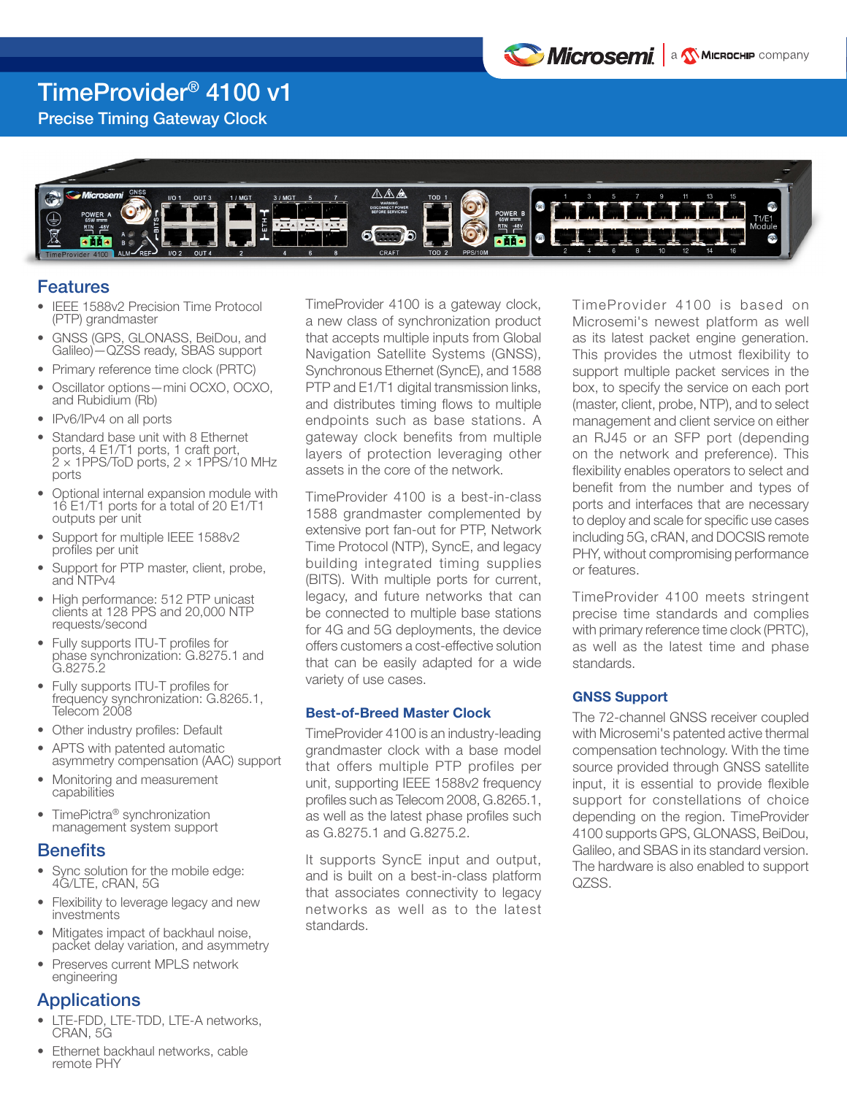

### TimeProvider® 4100 v1

Precise Timing Gateway Clock



### Features

- **IEEE 1588v2 Precision Time Protocol** (PTP) grandmaster
- GNSS (GPS, GLONASS, BeiDou, and Galileo)—QZSS ready, SBAS support
- Primary reference time clock (PRTC)
- Oscillator options—mini OCXO, OCXO, and Rubidium (Rb)
- IPv6/IPv4 on all ports
- Standard base unit with 8 Ethernet ports, 4 E1/T1 ports, 1 craft port,  $2 \times 1$ PPS/ToD ports,  $2 \times 1$ PPS/10 MHz ports
- Optional internal expansion module with 16 E1/T1 ports for a total of 20 E1/T1 outputs per unit
- Support for multiple IEEE 1588v2 profiles per unit
- Support for PTP master, client, probe, and NTPv4
- High performance: 512 PTP unicast clients at 128 PPS and 20,000 NTP requests/second
- Fully supports ITU-T profiles for phase synchronization: G.8275.1 and G.8275.2
- Fully supports ITU-T profiles for frequency synchronization: G.8265.1, Telecom 2008
- Other industry profiles: Default
- APTS with patented automatic asymmetry compensation (AAC) support
- Monitoring and measurement capabilities
- TimePictra® synchronization management system support

### **Benefits**

- Sync solution for the mobile edge: 4G/LTE, cRAN, 5G
- Flexibility to leverage legacy and new investments
- Mitigates impact of backhaul noise, packet delay variation, and asymmetry
- Preserves current MPLS network engineering

### **Applications**

- LTE-FDD, LTE-TDD, LTE-A networks, CRAN, 5G
- Ethernet backhaul networks, cable remote PHY

TimeProvider 4100 is a gateway clock, a new class of synchronization product that accepts multiple inputs from Global Navigation Satellite Systems (GNSS), Synchronous Ethernet (SyncE), and 1588 PTP and E1/T1 digital transmission links, and distributes timing flows to multiple endpoints such as base stations. A gateway clock benefits from multiple layers of protection leveraging other assets in the core of the network.

TimeProvider 4100 is a best-in-class 1588 grandmaster complemented by extensive port fan-out for PTP, Network Time Protocol (NTP), SyncE, and legacy building integrated timing supplies (BITS). With multiple ports for current, legacy, and future networks that can be connected to multiple base stations for 4G and 5G deployments, the device offers customers a cost-effective solution that can be easily adapted for a wide variety of use cases.

### Best-of-Breed Master Clock

TimeProvider 4100 is an industry-leading grandmaster clock with a base model that offers multiple PTP profiles per unit, supporting IEEE 1588v2 frequency profiles such as Telecom 2008, G.8265.1, as well as the latest phase profiles such as G.8275.1 and G.8275.2.

It supports SyncE input and output, and is built on a best-in-class platform that associates connectivity to legacy networks as well as to the latest standards.

TimeProvider 4100 is based on Microsemi's newest platform as well as its latest packet engine generation. This provides the utmost flexibility to support multiple packet services in the box, to specify the service on each port (master, client, probe, NTP), and to select management and client service on either an RJ45 or an SFP port (depending on the network and preference). This flexibility enables operators to select and benefit from the number and types of ports and interfaces that are necessary to deploy and scale for specific use cases including 5G, cRAN, and DOCSIS remote PHY, without compromising performance or features.

TimeProvider 4100 meets stringent precise time standards and complies with primary reference time clock (PRTC), as well as the latest time and phase standards.

### GNSS Support

The 72-channel GNSS receiver coupled with Microsemi's patented active thermal compensation technology. With the time source provided through GNSS satellite input, it is essential to provide flexible support for constellations of choice depending on the region. TimeProvider 4100 supports GPS, GLONASS, BeiDou, Galileo, and SBAS in its standard version. The hardware is also enabled to support QZSS.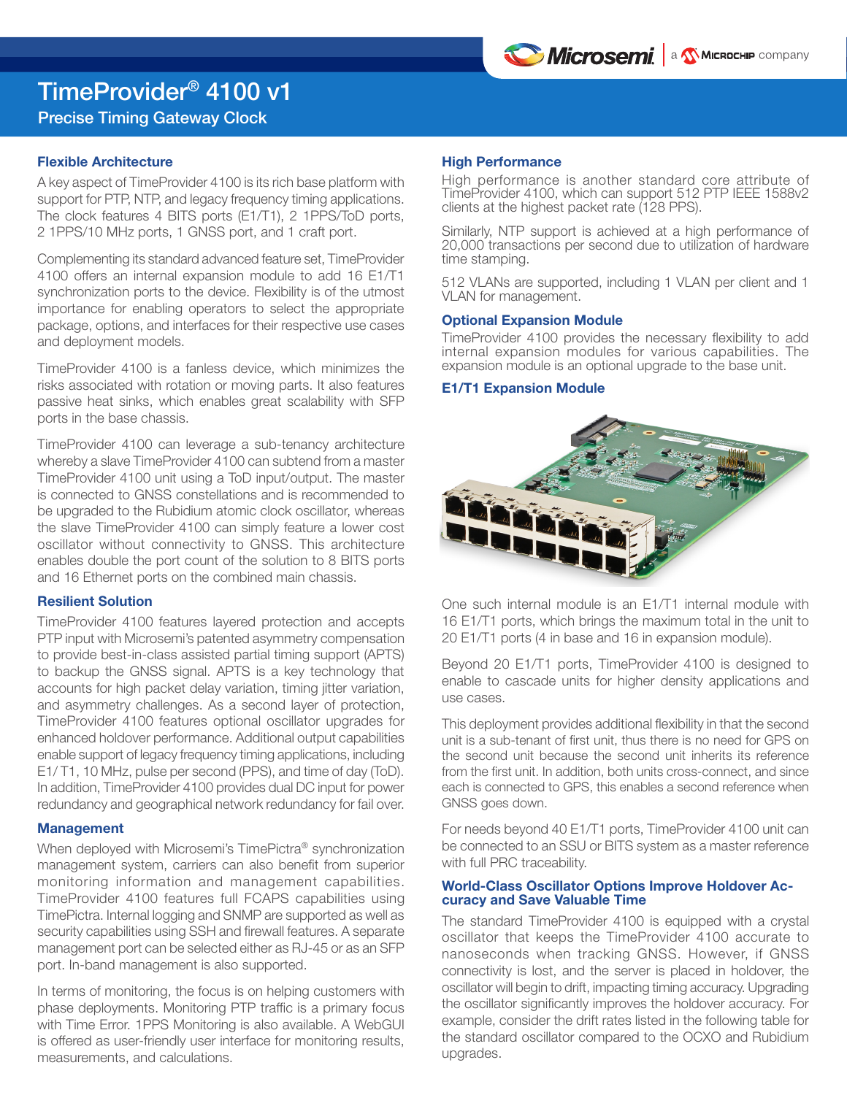

# TimeProvider® 4100 v1

### Precise Timing Gateway Clock

### Flexible Architecture

A key aspect of TimeProvider 4100 is its rich base platform with support for PTP, NTP, and legacy frequency timing applications. The clock features 4 BITS ports (E1/T1), 2 1PPS/ToD ports, 2 1PPS/10 MHz ports, 1 GNSS port, and 1 craft port.

Complementing its standard advanced feature set, TimeProvider 4100 offers an internal expansion module to add 16 E1/T1 synchronization ports to the device. Flexibility is of the utmost importance for enabling operators to select the appropriate package, options, and interfaces for their respective use cases and deployment models.

TimeProvider 4100 is a fanless device, which minimizes the risks associated with rotation or moving parts. It also features passive heat sinks, which enables great scalability with SFP ports in the base chassis.

TimeProvider 4100 can leverage a sub-tenancy architecture whereby a slave TimeProvider 4100 can subtend from a master TimeProvider 4100 unit using a ToD input/output. The master is connected to GNSS constellations and is recommended to be upgraded to the Rubidium atomic clock oscillator, whereas the slave TimeProvider 4100 can simply feature a lower cost oscillator without connectivity to GNSS. This architecture enables double the port count of the solution to 8 BITS ports and 16 Ethernet ports on the combined main chassis.

### Resilient Solution

TimeProvider 4100 features layered protection and accepts PTP input with Microsemi's patented asymmetry compensation to provide best-in-class assisted partial timing support (APTS) to backup the GNSS signal. APTS is a key technology that accounts for high packet delay variation, timing jitter variation, and asymmetry challenges. As a second layer of protection, TimeProvider 4100 features optional oscillator upgrades for enhanced holdover performance. Additional output capabilities enable support of legacy frequency timing applications, including E1/ T1, 10 MHz, pulse per second (PPS), and time of day (ToD). In addition, TimeProvider 4100 provides dual DC input for power redundancy and geographical network redundancy for fail over.

### **Management**

When deployed with Microsemi's TimePictra® synchronization management system, carriers can also benefit from superior monitoring information and management capabilities. TimeProvider 4100 features full FCAPS capabilities using TimePictra. Internal logging and SNMP are supported as well as security capabilities using SSH and firewall features. A separate management port can be selected either as RJ-45 or as an SFP port. In-band management is also supported.

In terms of monitoring, the focus is on helping customers with phase deployments. Monitoring PTP traffic is a primary focus with Time Error. 1PPS Monitoring is also available. A WebGUI is offered as user-friendly user interface for monitoring results, measurements, and calculations.

### High Performance

High performance is another standard core attribute of TimeProvider 4100, which can support 512 PTP IEEE 1588v2 clients at the highest packet rate (128 PPS).

Similarly, NTP support is achieved at a high performance of 20,000 transactions per second due to utilization of hardware time stamping.

512 VLANs are supported, including 1 VLAN per client and 1 VLAN for management.

### Optional Expansion Module

TimeProvider 4100 provides the necessary flexibility to add internal expansion modules for various capabilities. The expansion module is an optional upgrade to the base unit.

### E1/T1 Expansion Module



One such internal module is an E1/T1 internal module with 16 E1/T1 ports, which brings the maximum total in the unit to 20 E1/T1 ports (4 in base and 16 in expansion module).

Beyond 20 E1/T1 ports, TimeProvider 4100 is designed to enable to cascade units for higher density applications and use cases.

This deployment provides additional flexibility in that the second unit is a sub-tenant of first unit, thus there is no need for GPS on the second unit because the second unit inherits its reference from the first unit. In addition, both units cross-connect, and since each is connected to GPS, this enables a second reference when GNSS goes down.

For needs beyond 40 E1/T1 ports, TimeProvider 4100 unit can be connected to an SSU or BITS system as a master reference with full PRC traceability.

### World-Class Oscillator Options Improve Holdover Accuracy and Save Valuable Time

The standard TimeProvider 4100 is equipped with a crystal oscillator that keeps the TimeProvider 4100 accurate to nanoseconds when tracking GNSS. However, if GNSS connectivity is lost, and the server is placed in holdover, the oscillator will begin to drift, impacting timing accuracy. Upgrading the oscillator significantly improves the holdover accuracy. For example, consider the drift rates listed in the following table for the standard oscillator compared to the OCXO and Rubidium upgrades.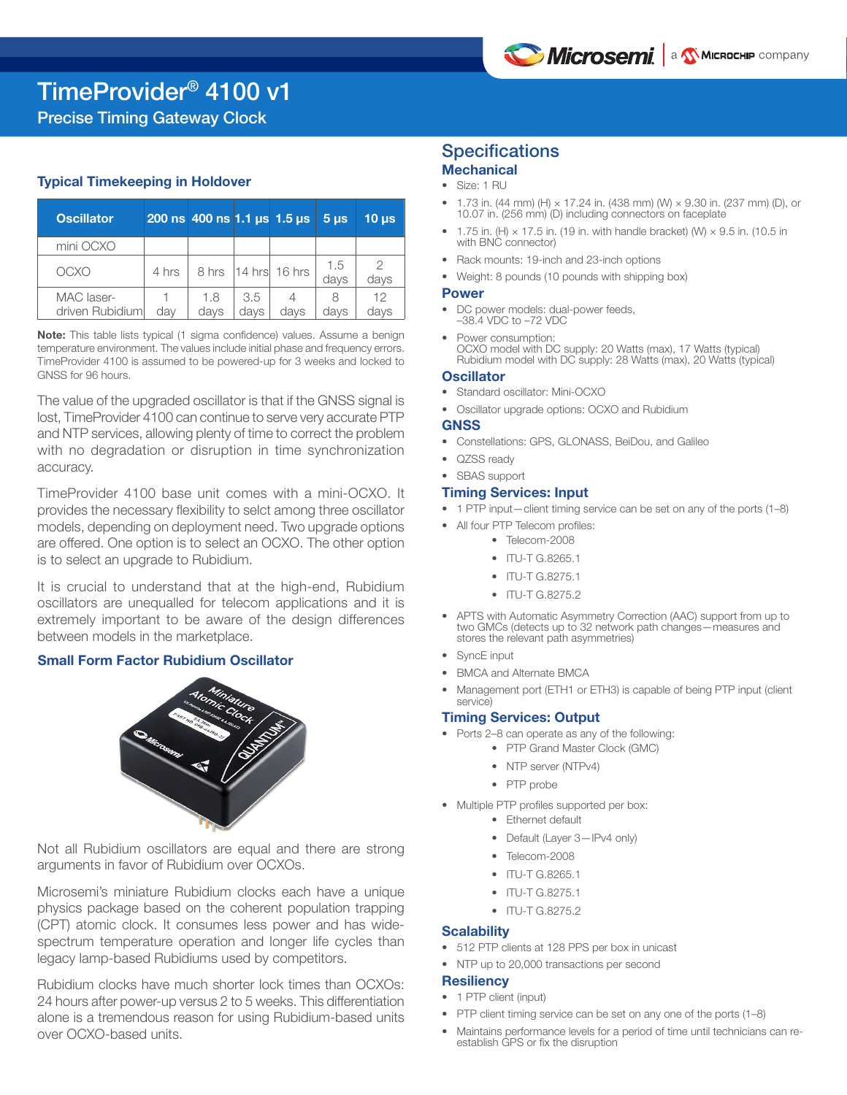Precise Timing Gateway Clock

### Typical Timekeeping in Holdover

| Oscillator.                   |       | $200$ ns 400 ns 1.1 µs 1.5 µs |             |                         | 5 <sub>us</sub> | 10 <sub>µs</sub> |
|-------------------------------|-------|-------------------------------|-------------|-------------------------|-----------------|------------------|
| mini OCXO                     |       |                               |             |                         |                 |                  |
| OCXO                          | 4 hrs |                               |             | 8 hrs   14 hrs   16 hrs | 1.5<br>days     | 2<br>days        |
| MAC laser-<br>driven Rubidium | day   | 1.8<br>days                   | 3.5<br>davs | davs                    | 8<br>davs       | 12<br>days       |

Note: This table lists typical (1 sigma confidence) values. Assume a benign temperature environment. The values include initial phase and frequency errors. TimeProvider 4100 is assumed to be powered-up for 3 weeks and locked to GNSS for 96 hours.

The value of the upgraded oscillator is that if the GNSS signal is lost, TimeProvider 4100 can continue to serve very accurate PTP and NTP services, allowing plenty of time to correct the problem with no degradation or disruption in time synchronization accuracy.

TimeProvider 4100 base unit comes with a mini-OCXO. It provides the necessary flexibility to selct among three oscillator models, depending on deployment need. Two upgrade options are offered. One option is to select an OCXO. The other option is to select an upgrade to Rubidium.

It is crucial to understand that at the high-end, Rubidium oscillators are unequalled for telecom applications and it is extremely important to be aware of the design differences between models in the marketplace.

### Small Form Factor Rubidium Oscillator



Not all Rubidium oscillators are equal and there are strong arguments in favor of Rubidium over OCXOs.

Microsemi's miniature Rubidium clocks each have a unique physics package based on the coherent population trapping (CPT) atomic clock. It consumes less power and has widespectrum temperature operation and longer life cycles than legacy lamp-based Rubidiums used by competitors.

Rubidium clocks have much shorter lock times than OCXOs: 24 hours after power-up versus 2 to 5 weeks. This differentiation alone is a tremendous reason for using Rubidium-based units over OCXO-based units.

### **Specifications Mechanical**

- Size: 1 RU
- 1.73 in. (44 mm) (H)  $\times$  17.24 in. (438 mm) (W)  $\times$  9.30 in. (237 mm) (D), or 10.07 in. (256 mm) (D) including connectors on faceplate
- 1.75 in. (H)  $\times$  17.5 in. (19 in. with handle bracket) (W)  $\times$  9.5 in. (10.5 in with BNC connector)
- Rack mounts: 19-inch and 23-inch options
- Weight: 8 pounds (10 pounds with shipping box)

### Power

- DC power models: dual-power feeds, –38.4 VDC to –72 VDC
- Power consumption: OCXO model with DC supply: 20 Watts (max), 17 Watts (typical) Rubidium model with DC supply: 28 Watts (max), 20 Watts (typical)

#### **Oscillator**

- Standard oscillator: Mini-OCXO
- Oscillator upgrade options: OCXO and Rubidium

### **GNSS**

- Constellations: GPS, GLONASS, BeiDou, and Galileo
- QZSS ready
- SBAS support

### Timing Services: Input

- 1 PTP input—client timing service can be set on any of the ports (1–8)
- All four PTP Telecom profiles:
	- Telecom-2008
		- ITU-T G.8265.1
		- ITU-T G.8275.1
		- ITU-T G.8275.2
- APTS with Automatic Asymmetry Correction (AAC) support from up to two GMCs (detects up to 32 network path changes—measures and stores the relevant path asymmetries)
- SyncE input
- BMCA and Alternate BMCA
- Management port (ETH1 or ETH3) is capable of being PTP input (client service)

### Timing Services: Output

- Ports 2–8 can operate as any of the following:
	- PTP Grand Master Clock (GMC)
	- NTP server (NTPv4)
	- PTP probe
- Multiple PTP profiles supported per box:
	- Ethernet default
	- Default (Layer 3-IPv4 only)
	- Telecom-2008
	- ITU-T G.8265.1
	- ITU-T G.8275.1
	- ITU-T G.8275.2

### **Scalability**

- 512 PTP clients at 128 PPS per box in unicast
- NTP up to 20,000 transactions per second

### **Resiliency**

- 1 PTP client (input)
- PTP client timing service can be set on any one of the ports (1–8)
- Maintains performance levels for a period of time until technicians can reestablish GPS or fix the disruption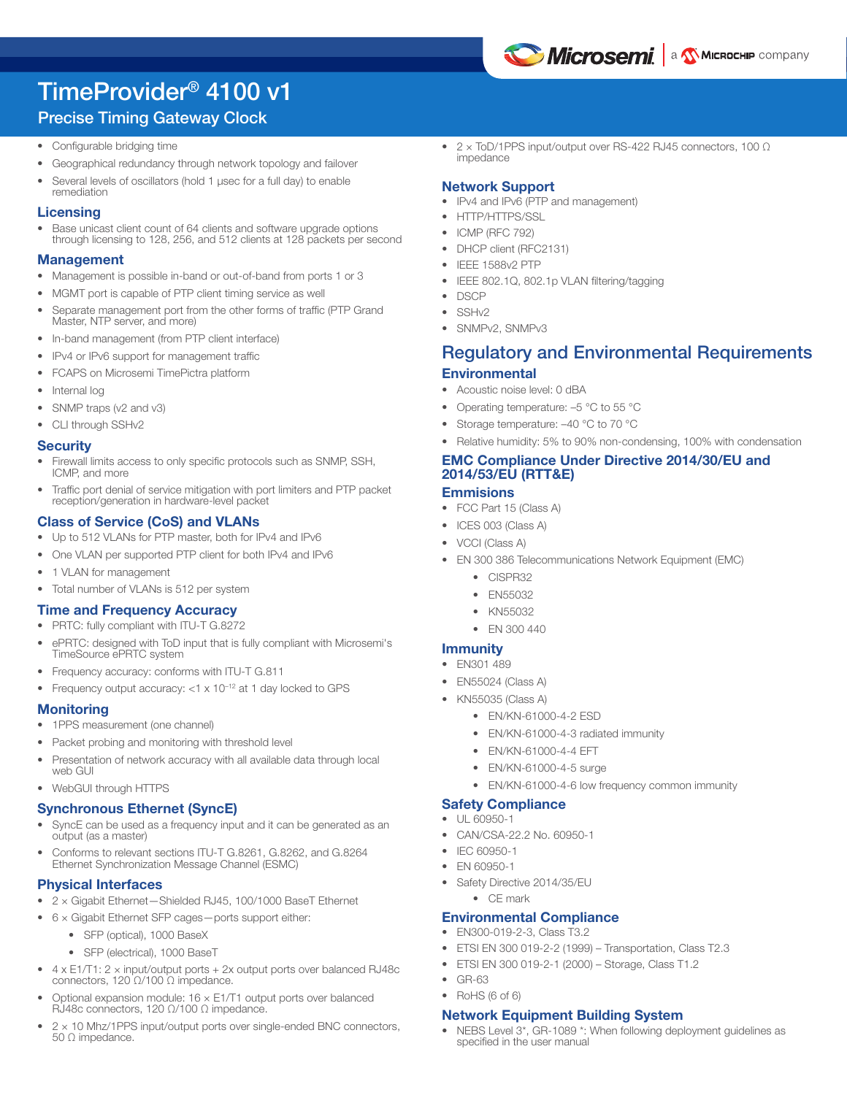

## TimeProvider® 4100 v1

### Precise Timing Gateway Clock

- Configurable bridging time
- Geographical redundancy through network topology and failover
- Several levels of oscillators (hold 1 µsec for a full day) to enable remediation

### **Licensing**

Base unicast client count of 64 clients and software upgrade options through licensing to 128, 256, and 512 clients at 128 packets per second

### Management

- Management is possible in-band or out-of-band from ports 1 or 3
- MGMT port is capable of PTP client timing service as well
- Separate management port from the other forms of traffic (PTP Grand Master, NTP server, and more)
- In-band management (from PTP client interface)
- IPv4 or IPv6 support for management traffic
- FCAPS on Microsemi TimePictra platform
- Internal log
- SNMP traps (v2 and v3)
- CLI through SSHv2

### **Security**

- Firewall limits access to only specific protocols such as SNMP, SSH, ICMP, and more
- Traffic port denial of service mitigation with port limiters and PTP packet reception/generation in hardware-level packet

### Class of Service (CoS) and VLANs

- Up to 512 VLANs for PTP master, both for IPv4 and IPv6
- One VLAN per supported PTP client for both IPv4 and IPv6
- 1 VLAN for management
- Total number of VLANs is 512 per system

### Time and Frequency Accuracy

- PRTC: fully compliant with ITU-T G.8272
- ePRTC: designed with ToD input that is fully compliant with Microsemi's TimeSource ePRTC system
- Frequency accuracy: conforms with ITU-T G.811
- Frequency output accuracy: <1 x 10<sup>-12</sup> at 1 day locked to GPS

### **Monitoring**

- 1PPS measurement (one channel)
- Packet probing and monitoring with threshold level
- Presentation of network accuracy with all available data through local web GUI
- WebGUI through HTTPS

### Synchronous Ethernet (SyncE)

- SyncE can be used as a frequency input and it can be generated as an output (as a master)
- Conforms to relevant sections ITU-T G.8261, G.8262, and G.8264 Ethernet Synchronization Message Channel (ESMC)

### Physical Interfaces

- 2 × Gigabit Ethernet—Shielded RJ45, 100/1000 BaseT Ethernet
- 6 × Gigabit Ethernet SFP cages—ports support either:
	- SFP (optical), 1000 BaseX
	- SFP (electrical), 1000 BaseT
- $\bullet$  4 x E1/T1: 2 x input/output ports + 2x output ports over balanced RJ48c connectors, 120 Ω/100 Ω impedance.
- Optional expansion module: 16 x E1/T1 output ports over balanced RJ48c connectors, 120 Ω/100 Ω impedance.
- 2 × 10 Mhz/1PPS input/output ports over single-ended BNC connectors, 50 Ω impedance.

• 2 x ToD/1PPS input/output over RS-422 RJ45 connectors, 100 Ω impedance

### Network Support

- IPv4 and IPv6 (PTP and management)
- HTTP/HTTPS/SSL
- ICMP (RFC 792)
- DHCP client (RFC2131)
- IEEE 1588v2 PTP
- IEEE 802.1Q, 802.1p VLAN filtering/tagging
- DSCP
- SSHv2
- SNMPv2, SNMPv3

### Regulatory and Environmental Requirements **Environmental**

- Acoustic noise level: 0 dBA
- Operating temperature:  $-5$  °C to 55 °C
- Storage temperature: -40 °C to 70 °C

### • Relative humidity: 5% to 90% non-condensing, 100% with condensation EMC Compliance Under Directive 2014/30/EU and 2014/53/EU (RTT&E)

### **Emmisions**

- FCC Part 15 (Class A)
- ICES 003 (Class A)
- VCCI (Class A)
- EN 300 386 Telecommunications Network Equipment (EMC)
	- CISPR32
	- EN55032
	- KN55032
	- EN 300 440

### **Immunity**

- EN301 489
- EN55024 (Class A)
- KN55035 (Class A)
	- EN/KN-61000-4-2 ESD
	- EN/KN-61000-4-3 radiated immunity
	- EN/KN-61000-4-4 EFT
	- EN/KN-61000-4-5 surge
	- EN/KN-61000-4-6 low frequency common immunity

### Safety Compliance

- UL 60950-1
- CAN/CSA-22.2 No. 60950-1
- IEC 60950-1
- EN 60950-1
- Safety Directive 2014/35/EU
	- CE mark

### Environmental Compliance

- EN300-019-2-3, Class T3.2
- ETSI EN 300 019-2-2 (1999) Transportation, Class T2.3
- ETSI EN 300 019-2-1 (2000) Storage, Class T1.2
- GR-63
- RoHS (6 of 6)

### Network Equipment Building System

• NEBS Level 3\*, GR-1089 \*: When following deployment guidelines as specified in the user manual